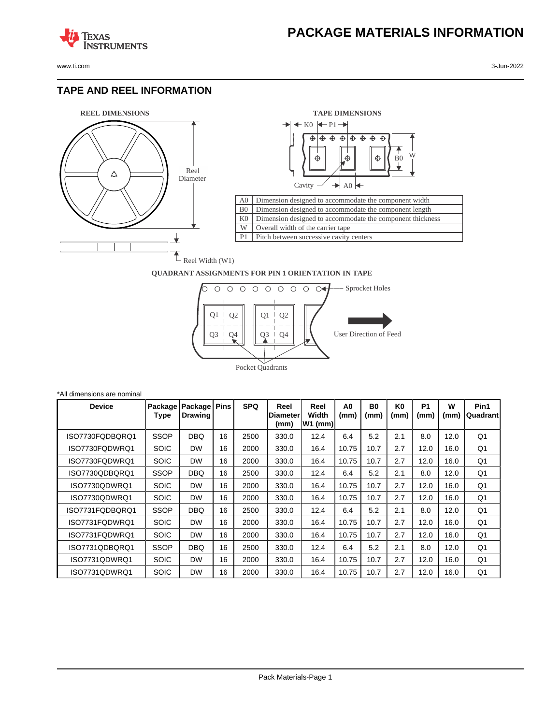www.ti.com 3-Jun-2022

**TEXAS** 

#### **TAPE AND REEL INFORMATION**

**ISTRUMENTS** 





#### **QUADRANT ASSIGNMENTS FOR PIN 1 ORIENTATION IN TAPE**



| *All dimensions are nominal |                 |                    |             |            |                                  |                            |            |            |                        |                   |           |                  |
|-----------------------------|-----------------|--------------------|-------------|------------|----------------------------------|----------------------------|------------|------------|------------------------|-------------------|-----------|------------------|
| <b>Device</b>               | Package<br>Type | Package<br>Drawing | <b>Pins</b> | <b>SPQ</b> | Reel<br><b>IDiameter</b><br>(mm) | Reel<br>Width<br>$W1$ (mm) | A0<br>(mm) | B0<br>(mm) | K <sub>0</sub><br>(mm) | <b>P1</b><br>(mm) | W<br>(mm) | Pin1<br>Quadrant |
| ISO7730FQDBQRQ1             | <b>SSOP</b>     | DBQ                | 16          | 2500       | 330.0                            | 12.4                       | 6.4        | 5.2        | 2.1                    | 8.0               | 12.0      | Q <sub>1</sub>   |
| ISO7730FQDWRQ1              | <b>SOIC</b>     | <b>DW</b>          | 16          | 2000       | 330.0                            | 16.4                       | 10.75      | 10.7       | 2.7                    | 12.0              | 16.0      | Q <sub>1</sub>   |
| ISO7730FQDWRQ1              | <b>SOIC</b>     | <b>DW</b>          | 16          | 2000       | 330.0                            | 16.4                       | 10.75      | 10.7       | 2.7                    | 12.0              | 16.0      | Q <sub>1</sub>   |
| ISO7730QDBQRQ1              | <b>SSOP</b>     | DBQ                | 16          | 2500       | 330.0                            | 12.4                       | 6.4        | 5.2        | 2.1                    | 8.0               | 12.0      | Q <sub>1</sub>   |
| ISO7730QDWRQ1               | <b>SOIC</b>     | <b>DW</b>          | 16          | 2000       | 330.0                            | 16.4                       | 10.75      | 10.7       | 2.7                    | 12.0              | 16.0      | Q <sub>1</sub>   |
| ISO7730QDWRQ1               | <b>SOIC</b>     | <b>DW</b>          | 16          | 2000       | 330.0                            | 16.4                       | 10.75      | 10.7       | 2.7                    | 12.0              | 16.0      | Q <sub>1</sub>   |
| ISO7731FQDBQRQ1             | <b>SSOP</b>     | DBQ                | 16          | 2500       | 330.0                            | 12.4                       | 6.4        | 5.2        | 2.1                    | 8.0               | 12.0      | Q <sub>1</sub>   |
| ISO7731FQDWRQ1              | <b>SOIC</b>     | <b>DW</b>          | 16          | 2000       | 330.0                            | 16.4                       | 10.75      | 10.7       | 2.7                    | 12.0              | 16.0      | Q <sub>1</sub>   |
| ISO7731FQDWRQ1              | <b>SOIC</b>     | <b>DW</b>          | 16          | 2000       | 330.0                            | 16.4                       | 10.75      | 10.7       | 2.7                    | 12.0              | 16.0      | Q <sub>1</sub>   |
| ISO7731QDBQRQ1              | <b>SSOP</b>     | <b>DBQ</b>         | 16          | 2500       | 330.0                            | 12.4                       | 6.4        | 5.2        | 2.1                    | 8.0               | 12.0      | Q <sub>1</sub>   |
| ISO7731QDWRQ1               | <b>SOIC</b>     | <b>DW</b>          | 16          | 2000       | 330.0                            | 16.4                       | 10.75      | 10.7       | 2.7                    | 12.0              | 16.0      | Q1               |
| ISO7731QDWRQ1               | <b>SOIC</b>     | <b>DW</b>          | 16          | 2000       | 330.0                            | 16.4                       | 10.75      | 10.7       | 2.7                    | 12.0              | 16.0      | Q <sub>1</sub>   |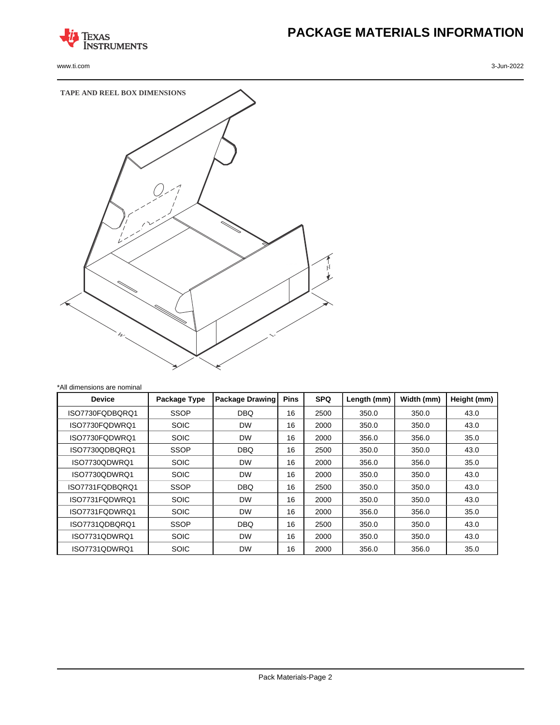

www.ti.com 3-Jun-2022

# **PACKAGE MATERIALS INFORMATION**



| All dimensions are nominal |              |                        |             |            |             |            |             |
|----------------------------|--------------|------------------------|-------------|------------|-------------|------------|-------------|
| <b>Device</b>              | Package Type | <b>Package Drawing</b> | <b>Pins</b> | <b>SPQ</b> | Length (mm) | Width (mm) | Height (mm) |
| ISO7730FQDBQRQ1            | <b>SSOP</b>  | <b>DBQ</b>             | 16          | 2500       | 350.0       | 350.0      | 43.0        |
| ISO7730FODWRO1             | <b>SOIC</b>  | <b>DW</b>              | 16          | 2000       | 350.0       | 350.0      | 43.0        |
| ISO7730FODWRO1             | <b>SOIC</b>  | <b>DW</b>              | 16          | 2000       | 356.0       | 356.0      | 35.0        |
| ISO7730QDBQRQ1             | <b>SSOP</b>  | <b>DBQ</b>             | 16          | 2500       | 350.0       | 350.0      | 43.0        |
| ISO7730QDWRQ1              | <b>SOIC</b>  | <b>DW</b>              | 16          | 2000       | 356.0       | 356.0      | 35.0        |
| ISO7730QDWRQ1              | <b>SOIC</b>  | <b>DW</b>              | 16          | 2000       | 350.0       | 350.0      | 43.0        |
| ISO7731FQDBQRQ1            | <b>SSOP</b>  | <b>DBQ</b>             | 16          | 2500       | 350.0       | 350.0      | 43.0        |
| ISO7731FQDWRQ1             | <b>SOIC</b>  | <b>DW</b>              | 16          | 2000       | 350.0       | 350.0      | 43.0        |
| ISO7731FQDWRQ1             | <b>SOIC</b>  | <b>DW</b>              | 16          | 2000       | 356.0       | 356.0      | 35.0        |
| ISO7731QDBQRQ1             | <b>SSOP</b>  | <b>DBQ</b>             | 16          | 2500       | 350.0       | 350.0      | 43.0        |
| ISO7731QDWRQ1              | <b>SOIC</b>  | <b>DW</b>              | 16          | 2000       | 350.0       | 350.0      | 43.0        |
| ISO7731QDWRQ1              | <b>SOIC</b>  | <b>DW</b>              | 16          | 2000       | 356.0       | 356.0      | 35.0        |